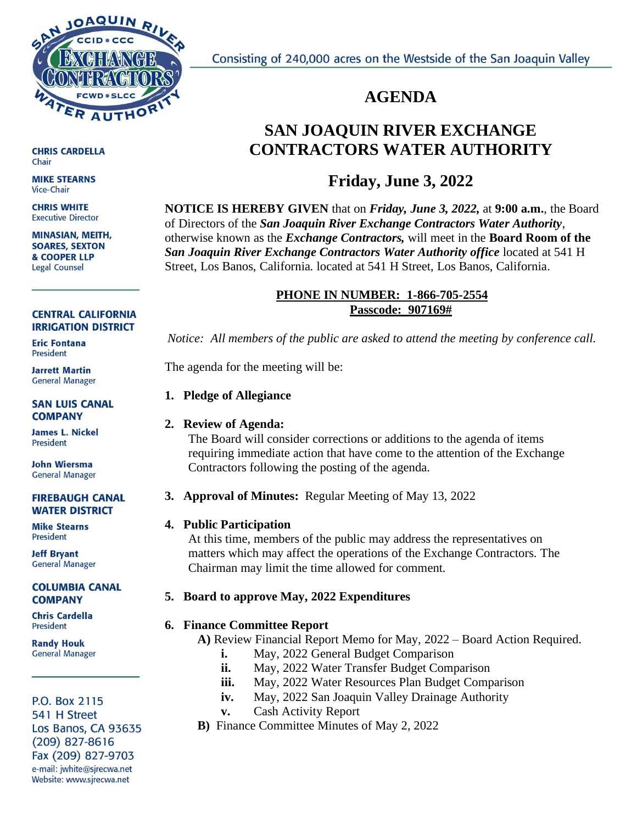

Consisting of 240,000 acres on the Westside of the San Joaquin Valley

## **AGENDA**

# **SAN JOAQUIN RIVER EXCHANGE CONTRACTORS WATER AUTHORITY**

## **Friday, June 3, 2022**

**NOTICE IS HEREBY GIVEN** that on *Friday, June 3, 2022,* at **9:00 a.m.**, the Board of Directors of the *San Joaquin River Exchange Contractors Water Authority*, otherwise known as the *Exchange Contractors,* will meet in the **Board Room of the** *San Joaquin River Exchange Contractors Water Authority office* located at 541 H Street, Los Banos, California. located at 541 H Street, Los Banos, California.

## **PHONE IN NUMBER: 1-866-705-2554 Passcode: 907169#**

*Notice: All members of the public are asked to attend the meeting by conference call.* 

The agenda for the meeting will be:

## **1. Pledge of Allegiance**

## **2. Review of Agenda:**

The Board will consider corrections or additions to the agenda of items requiring immediate action that have come to the attention of the Exchange Contractors following the posting of the agenda.

## **3. Approval of Minutes:** Regular Meeting of May 13, 2022

## **4. Public Participation**

At this time, members of the public may address the representatives on matters which may affect the operations of the Exchange Contractors. The Chairman may limit the time allowed for comment.

## **5. Board to approve May, 2022 Expenditures**

## **6. Finance Committee Report**

 **A)** Review Financial Report Memo for May, 2022 – Board Action Required.

- **i.** May, 2022 General Budget Comparison
- **ii.** May, 2022 Water Transfer Budget Comparison
- **iii.** May, 2022 Water Resources Plan Budget Comparison
- **iv.** May, 2022 San Joaquin Valley Drainage Authority
- **v.** Cash Activity Report
- **B)** Finance Committee Minutes of May 2, 2022

**CHRIS CARDELLA** Chair

**MIKE STEARNS Vice-Chair** 

**CHRIS WHITE Executive Director** 

**MINASIAN, MEITH, SOARES, SEXTON** & COOPER LLP Legal Counsel

#### **CENTRAL CALIFORNIA IRRIGATION DISTRICT**

**Eric Fontana** President

**Jarrett Martin General Manager** 

**SAN LUIS CANAL COMPANY** 

**James L. Nickel** President

**John Wiersma General Manager** 

#### **FIREBAUGH CANAL WATER DISTRICT**

**Mike Stearns President** 

**Jeff Bryant General Manager** 

#### **COLUMBIA CANAL COMPANY**

**Chris Cardella** President

**Randy Houk General Manager** 

#### P.O. Box 2115 541 H Street Los Banos, CA 93635  $(209)$  827-8616 Fax (209) 827-9703 e-mail: jwhite@sjrecwa.net Website: www.sjrecwa.net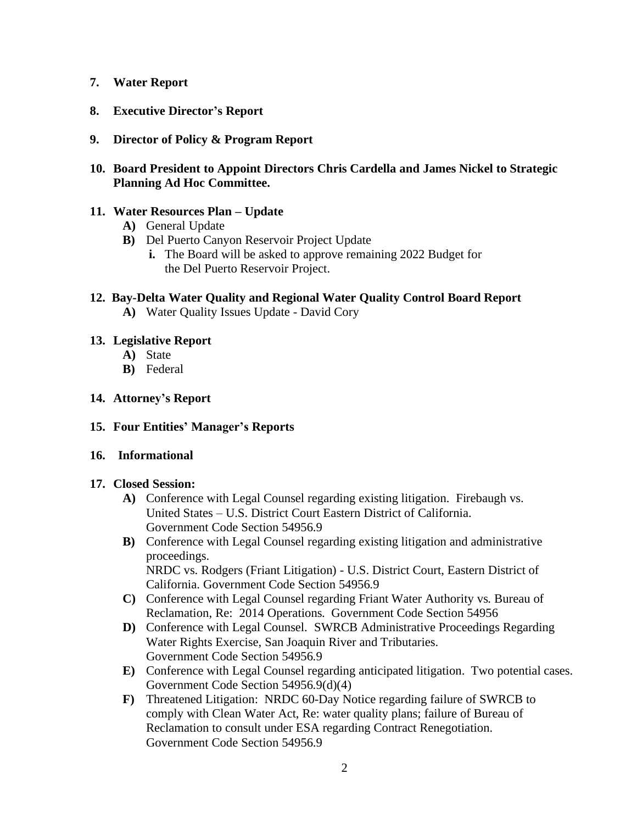## **7. Water Report**

- **8. Executive Director's Report**
- **9. Director of Policy & Program Report**

## **10. Board President to Appoint Directors Chris Cardella and James Nickel to Strategic Planning Ad Hoc Committee.**

## **11. Water Resources Plan – Update**

- **A)** General Update
- **B)** Del Puerto Canyon Reservoir Project Update
	- **i.** The Board will be asked to approve remaining 2022 Budget for the Del Puerto Reservoir Project.

## **12. Bay-Delta Water Quality and Regional Water Quality Control Board Report**

**A)** Water Quality Issues Update - David Cory

## **13. Legislative Report**

- **A)** State
- **B)** Federal
- **14. Attorney's Report**

## **15. Four Entities' Manager's Reports**

## **16. Informational**

## **17. Closed Session:**

- **A)** Conference with Legal Counsel regarding existing litigation. Firebaugh vs. United States – U.S. District Court Eastern District of California. Government Code Section 54956.9
- **B)** Conference with Legal Counsel regarding existing litigation and administrative proceedings. NRDC vs. Rodgers (Friant Litigation) - U.S. District Court, Eastern District of California. Government Code Section 54956.9
- **C)** Conference with Legal Counsel regarding Friant Water Authority vs. Bureau of Reclamation, Re: 2014 Operations. Government Code Section 54956
- **D)** Conference with Legal Counsel. SWRCB Administrative Proceedings Regarding Water Rights Exercise, San Joaquin River and Tributaries. Government Code Section 54956.9
- **E)** Conference with Legal Counsel regarding anticipated litigation. Two potential cases. Government Code Section 54956.9(d)(4)
- **F)** Threatened Litigation: NRDC 60-Day Notice regarding failure of SWRCB to comply with Clean Water Act, Re: water quality plans; failure of Bureau of Reclamation to consult under ESA regarding Contract Renegotiation. Government Code Section 54956.9